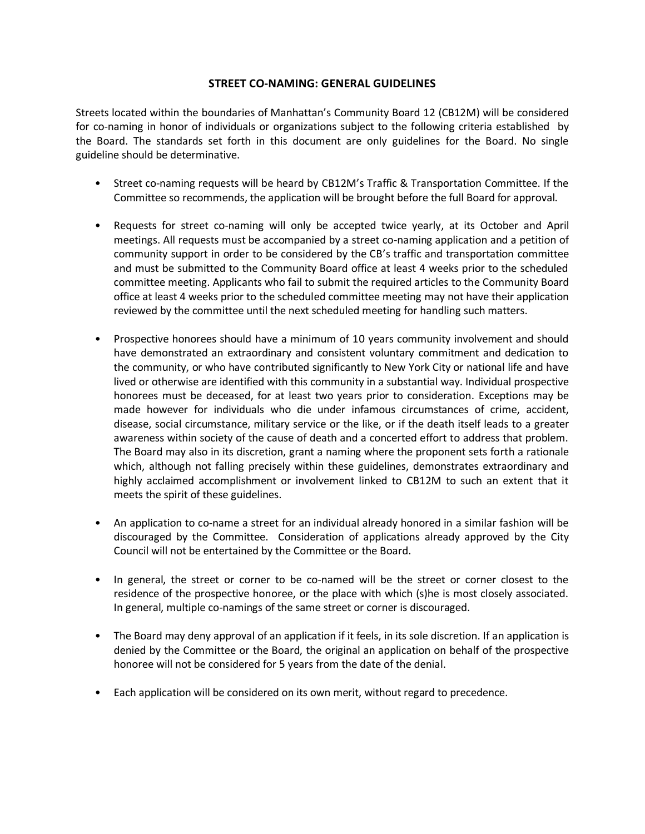## **STREET CO-NAMING: GENERAL GUIDELINES**

Streets located within the boundaries of Manhattan's Community Board 12 (CB12M) will be considered for co-naming in honor of individuals or organizations subject to the following criteria established by the Board. The standards set forth in this document are only guidelines for the Board. No single guideline should be determinative.

- Street co-naming requests will be heard by CB12M's Traffic & Transportation Committee. If the Committee so recommends, the application will be brought before the full Board for approval.
- Requests for street co-naming will only be accepted twice yearly, at its October and April meetings. All requests must be accompanied by a street co-naming application and a petition of community support in order to be considered by the CB's traffic and transportation committee and must be submitted to the Community Board office at least 4 weeks prior to the scheduled committee meeting. Applicants who fail to submit the required articles to the Community Board office at least 4 weeks prior to the scheduled committee meeting may not have their application reviewed by the committee until the next scheduled meeting for handling such matters.
- Prospective honorees should have a minimum of 10 years community involvement and should have demonstrated an extraordinary and consistent voluntary commitment and dedication to the community, or who have contributed significantly to New York City or national life and have lived or otherwise are identified with this community in a substantial way. Individual prospective honorees must be deceased, for at least two years prior to consideration. Exceptions may be made however for individuals who die under infamous circumstances of crime, accident, disease, social circumstance, military service or the like, or if the death itself leads to a greater awareness within society of the cause of death and a concerted effort to address that problem. The Board may also in its discretion, grant a naming where the proponent sets forth a rationale which, although not falling precisely within these guidelines, demonstrates extraordinary and highly acclaimed accomplishment or involvement linked to CB12M to such an extent that it meets the spirit of these guidelines.
- An application to co-name a street for an individual already honored in a similar fashion will be discouraged by the Committee. Consideration of applications already approved by the City Council will not be entertained by the Committee or the Board.
- In general, the street or corner to be co-named will be the street or corner closest to the residence of the prospective honoree, or the place with which (s)he is most closely associated. In general, multiple co-namings of the same street or corner is discouraged.
- The Board may deny approval of an application if it feels, in its sole discretion. If an application is denied by the Committee or the Board, the original an application on behalf of the prospective honoree will not be considered for 5 years from the date of the denial.
- Each application will be considered on its own merit, without regard to precedence.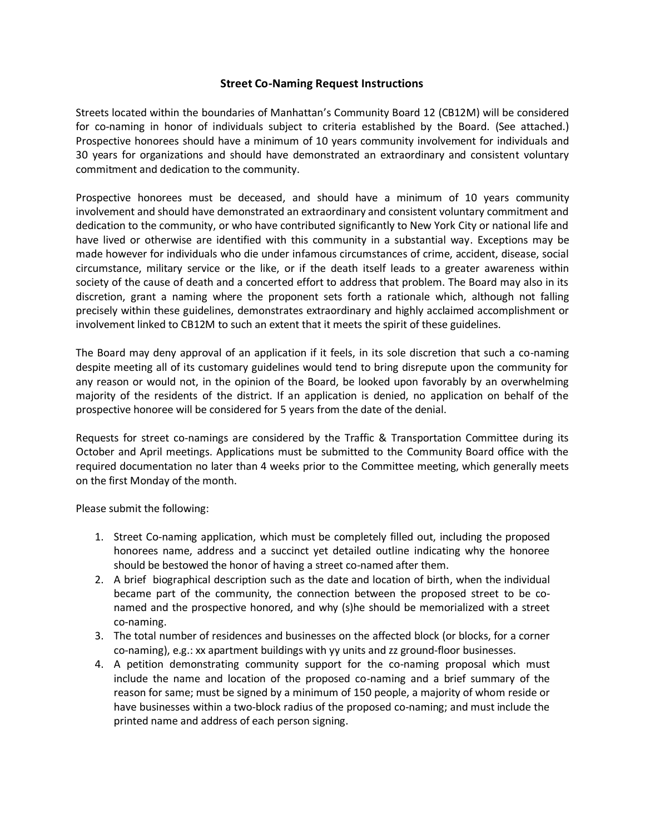## **Street Co-Naming Request Instructions**

Streets located within the boundaries of Manhattan's Community Board 12 (CB12M) will be considered for co-naming in honor of individuals subject to criteria established by the Board. (See attached.) Prospective honorees should have a minimum of 10 years community involvement for individuals and 30 years for organizations and should have demonstrated an extraordinary and consistent voluntary commitment and dedication to the community.

Prospective honorees must be deceased, and should have a minimum of 10 years community involvement and should have demonstrated an extraordinary and consistent voluntary commitment and dedication to the community, or who have contributed significantly to New York City or national life and have lived or otherwise are identified with this community in a substantial way. Exceptions may be made however for individuals who die under infamous circumstances of crime, accident, disease, social circumstance, military service or the like, or if the death itself leads to a greater awareness within society of the cause of death and a concerted effort to address that problem. The Board may also in its discretion, grant a naming where the proponent sets forth a rationale which, although not falling precisely within these guidelines, demonstrates extraordinary and highly acclaimed accomplishment or involvement linked to CB12M to such an extent that it meets the spirit of these guidelines.

The Board may deny approval of an application if it feels, in its sole discretion that such a co-naming despite meeting all of its customary guidelines would tend to bring disrepute upon the community for any reason or would not, in the opinion of the Board, be looked upon favorably by an overwhelming majority of the residents of the district. If an application is denied, no application on behalf of the prospective honoree will be considered for 5 years from the date of the denial.

Requests for street co-namings are considered by the Traffic & Transportation Committee during its October and April meetings. Applications must be submitted to the Community Board office with the required documentation no later than 4 weeks prior to the Committee meeting, which generally meets on the first Monday of the month.

Please submit the following:

- 1. Street Co-naming application, which must be completely filled out, including the proposed honorees name, address and a succinct yet detailed outline indicating why the honoree should be bestowed the honor of having a street co-named after them.
- 2. A brief biographical description such as the date and location of birth, when the individual became part of the community, the connection between the proposed street to be conamed and the prospective honored, and why (s)he should be memorialized with a street co-naming.
- 3. The total number of residences and businesses on the affected block (or blocks, for a corner co-naming), e.g.: xx apartment buildings with yy units and zz ground-floor businesses.
- 4. A petition demonstrating community support for the co-naming proposal which must include the name and location of the proposed co-naming and a brief summary of the reason for same; must be signed by a minimum of 150 people, a majority of whom reside or have businesses within a two-block radius of the proposed co-naming; and must include the printed name and address of each person signing.